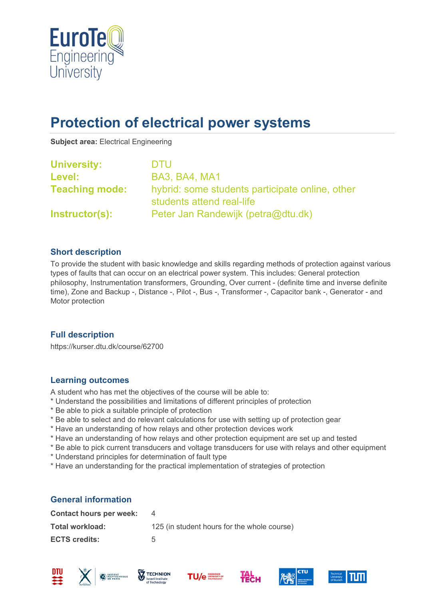

# **Protection of electrical power systems**

**Subject area:** Electrical Engineering

| <b>University:</b>    | DTU                                                                          |
|-----------------------|------------------------------------------------------------------------------|
| Level:                | <b>BA3, BA4, MA1</b>                                                         |
| <b>Teaching mode:</b> | hybrid: some students participate online, other<br>students attend real-life |
| <b>Instructor(s):</b> | Peter Jan Randewijk (petra@dtu.dk)                                           |

## **Short description**

To provide the student with basic knowledge and skills regarding methods of protection against various types of faults that can occur on an electrical power system. This includes: General protection philosophy, Instrumentation transformers, Grounding, Over current - (definite time and inverse definite time), Zone and Backup -, Distance -, Pilot -, Bus -, Transformer -, Capacitor bank -, Generator - and Motor protection

## **Full description**

https://kurser.dtu.dk/course/62700

#### **Learning outcomes**

A student who has met the objectives of the course will be able to:

- \* Understand the possibilities and limitations of different principles of protection
- \* Be able to pick a suitable principle of protection
- \* Be able to select and do relevant calculations for use with setting up of protection gear
- \* Have an understanding of how relays and other protection devices work
- \* Have an understanding of how relays and other protection equipment are set up and tested
- \* Be able to pick current transducers and voltage transducers for use with relays and other equipment
- \* Understand principles for determination of fault type
- \* Have an understanding for the practical implementation of strategies of protection

## **General information**

| <b>Contact hours per week:</b> |                                             |
|--------------------------------|---------------------------------------------|
| Total workload:                | 125 (in student hours for the whole course) |
| <b>ECTS credits:</b>           | 5                                           |











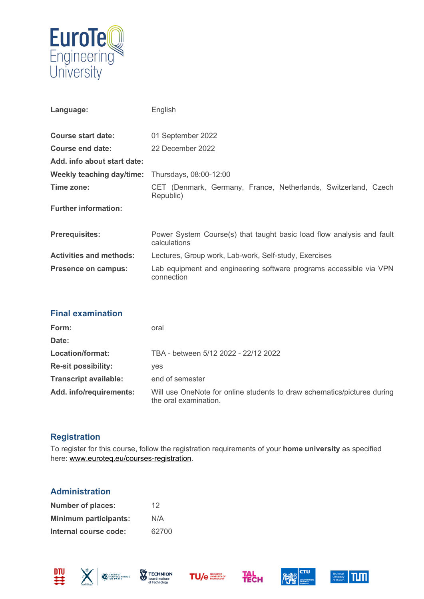

| Language:                      | English                                                                               |  |
|--------------------------------|---------------------------------------------------------------------------------------|--|
| <b>Course start date:</b>      | 01 September 2022                                                                     |  |
| Course end date:               | 22 December 2022                                                                      |  |
| Add. info about start date:    |                                                                                       |  |
| Weekly teaching day/time:      | Thursdays, 08:00-12:00                                                                |  |
| Time zone:                     | CET (Denmark, Germany, France, Netherlands, Switzerland, Czech<br>Republic)           |  |
| <b>Further information:</b>    |                                                                                       |  |
| <b>Prerequisites:</b>          | Power System Course(s) that taught basic load flow analysis and fault<br>calculations |  |
| <b>Activities and methods:</b> | Lectures, Group work, Lab-work, Self-study, Exercises                                 |  |
| <b>Presence on campus:</b>     | Lab equipment and engineering software programs accessible via VPN<br>connection      |  |
| <b>Final examination</b>       |                                                                                       |  |

| Form:                        | oral                                                                                             |
|------------------------------|--------------------------------------------------------------------------------------------------|
| Date:                        |                                                                                                  |
| Location/format:             | TBA - between 5/12 2022 - 22/12 2022                                                             |
| <b>Re-sit possibility:</b>   | <b>ves</b>                                                                                       |
| <b>Transcript available:</b> | end of semester                                                                                  |
| Add. info/requirements:      | Will use OneNote for online students to draw schematics/pictures during<br>the oral examination. |

# **Registration**

To register for this course, follow the registration requirements of your **home university** as specified here: [www.euroteq.eu/courses-registration.](http://www.euroteq.eu/courses-registration)

# **Administration**

| <b>Number of places:</b>     | 12    |
|------------------------------|-------|
| <b>Minimum participants:</b> | N/A   |
| Internal course code:        | 62700 |